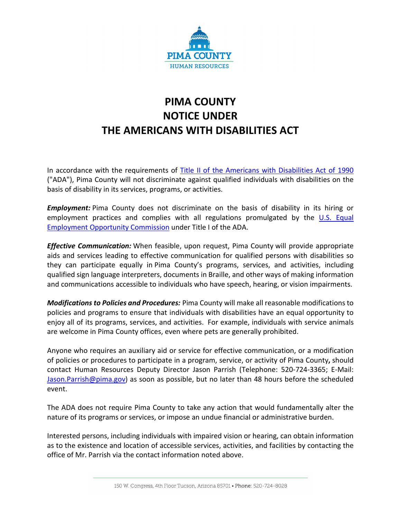

## **PIMA COUNTY NOTICE UNDER THE AMERICANS WITH DISABILITIES ACT**

In accordance with the requirements of [Title II of the Americans with Disabilities Act of 1990](https://www.ecfr.gov/cgi-bin/text-idx?c=ecfr&SID=2ab2aab2d3d2fd0f544a5ce7aad8f04c&rgn=div5&view=text&node=28:1.0.1.1.36&idno=28) ("ADA"), Pima County will not discriminate against qualified individuals with disabilities on the basis of disability in its services, programs, or activities.

*Employment:* Pima County does not discriminate on the basis of disability in its hiring or employment practices and complies with all regulations promulgated by the [U.S. Equal](http://www.eeoc.gov/)  [Employment Opportunity Commission](http://www.eeoc.gov/) under Title I of the ADA.

*Effective Communication:* When feasible, upon request, Pima County will provide appropriate aids and services leading to effective communication for qualified persons with disabilities so they can participate equally in Pima County's programs, services, and activities, including qualified sign language interpreters, documents in Braille, and other ways of making information and communications accessible to individuals who have speech, hearing, or vision impairments.

*Modifications to Policies and Procedures:* Pima County will make all reasonable modifications to policies and programs to ensure that individuals with disabilities have an equal opportunity to enjoy all of its programs, services, and activities. For example, individuals with service animals are welcome in Pima County offices, even where pets are generally prohibited.

Anyone who requires an auxiliary aid or service for effective communication, or a modification of policies or procedures to participate in a program, service, or activity of Pima County**,** should contact Human Resources Deputy Director Jason Parrish (Telephone: 520-724-3365; E-Mail: [Jason.Parrish@pima.gov\)](mailto:Jason.Parrish@pima.gov) as soon as possible, but no later than 48 hours before the scheduled event.

The ADA does not require Pima County to take any action that would fundamentally alter the nature of its programs or services, or impose an undue financial or administrative burden.

Interested persons, including individuals with impaired vision or hearing, can obtain information as to the existence and location of accessible services, activities, and facilities by contacting the office of Mr. Parrish via the contact information noted above.

<sup>150</sup> W. Congress, 4th Floor Tucson, Arizona 85701 • Phone: 520-724-8028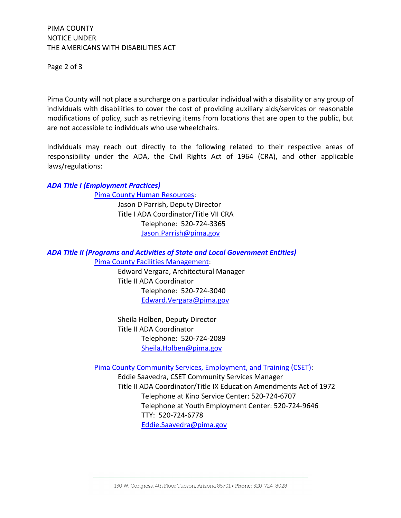Page 2 of 3

Pima County will not place a surcharge on a particular individual with a disability or any group of individuals with disabilities to cover the cost of providing auxiliary aids/services or reasonable modifications of policy, such as retrieving items from locations that are open to the public, but are not accessible to individuals who use wheelchairs.

Individuals may reach out directly to the following related to their respective areas of responsibility under the ADA, the Civil Rights Act of 1964 (CRA), and other applicable laws/regulations:

## *[ADA Title I \(Employment Practices\)](https://www.ada.gov/pubs/adastatute08.htm#subchapterI)*

[Pima County Human Resources:](http://www.pima.gov/hr) Jason D Parrish, Deputy Director Title I ADA Coordinator/Title VII CRA Telephone: 520-724-3365 [Jason.Parrish@pima.gov](mailto:Jason.Parrish@pima.gov)

*[ADA Title II \(Programs and Activities of State and Local Government Entities\)](https://www.ada.gov/regs2010/titleII_2010/titleII_2010_regulations.htm)*

[Pima County Facilities Management:](http://webcms.pima.gov/government/facilities_management/)

Edward Vergara, Architectural Manager Title II ADA Coordinator Telephone: 520-724-3040 [Edward.Vergara@pima.gov](mailto:Edward.Vergara@pima.gov)

Sheila Holben, Deputy Director Title II ADA Coordinator Telephone: 520-724-2089 [Sheila.Holben@pima.gov](mailto:Sheila.Holben@pima.gov)

[Pima County Community Services, Employment, and Training \(CSET\):](http://webcms.pima.gov/government/community_services_employment_and_training/)

Eddie Saavedra, CSET Community Services Manager Title II ADA Coordinator/Title IX Education Amendments Act of 1972 Telephone at Kino Service Center: 520-724-6707 Telephone at Youth Employment Center: 520-724-9646 TTY: 520-724-6778 [Eddie.Saavedra@pima.gov](mailto:Eddie.Saavedra@pima.gov)